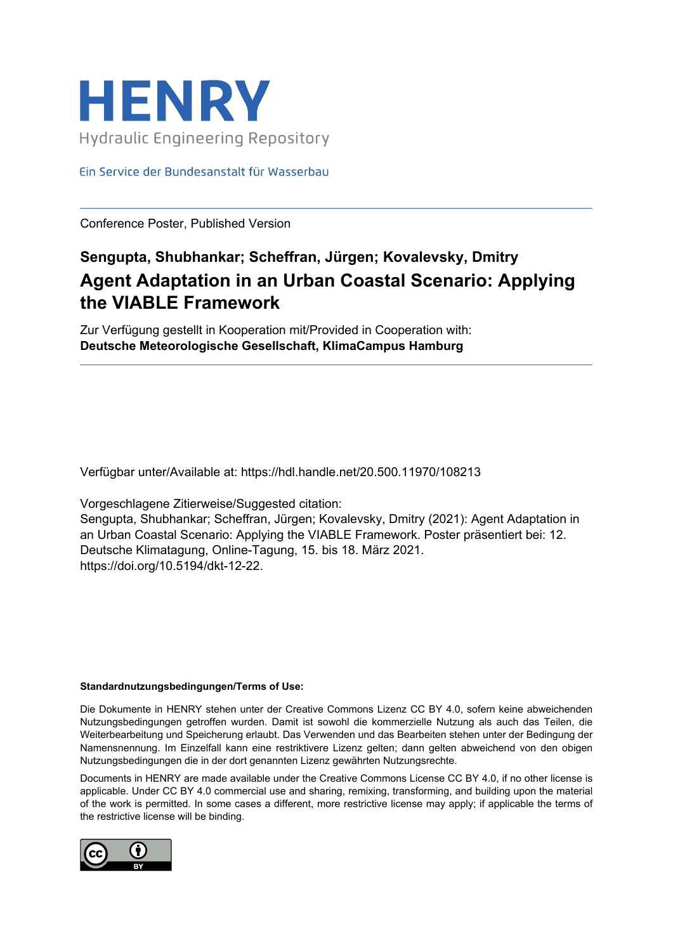

Ein Service der Bundesanstalt für Wasserbau

Conference Poster, Published Version

## **Sengupta, Shubhankar; Scheffran, Jürgen; Kovalevsky, Dmitry Agent Adaptation in an Urban Coastal Scenario: Applying the VIABLE Framework**

Zur Verfügung gestellt in Kooperation mit/Provided in Cooperation with: **Deutsche Meteorologische Gesellschaft, KlimaCampus Hamburg**

Verfügbar unter/Available at: https://hdl.handle.net/20.500.11970/108213

Vorgeschlagene Zitierweise/Suggested citation:

Sengupta, Shubhankar; Scheffran, Jürgen; Kovalevsky, Dmitry (2021): Agent Adaptation in an Urban Coastal Scenario: Applying the VIABLE Framework. Poster präsentiert bei: 12. Deutsche Klimatagung, Online-Tagung, 15. bis 18. März 2021. https://doi.org/10.5194/dkt-12-22.

## **Standardnutzungsbedingungen/Terms of Use:**

Die Dokumente in HENRY stehen unter der Creative Commons Lizenz CC BY 4.0, sofern keine abweichenden Nutzungsbedingungen getroffen wurden. Damit ist sowohl die kommerzielle Nutzung als auch das Teilen, die Weiterbearbeitung und Speicherung erlaubt. Das Verwenden und das Bearbeiten stehen unter der Bedingung der Namensnennung. Im Einzelfall kann eine restriktivere Lizenz gelten; dann gelten abweichend von den obigen Nutzungsbedingungen die in der dort genannten Lizenz gewährten Nutzungsrechte.

Documents in HENRY are made available under the Creative Commons License CC BY 4.0, if no other license is applicable. Under CC BY 4.0 commercial use and sharing, remixing, transforming, and building upon the material of the work is permitted. In some cases a different, more restrictive license may apply; if applicable the terms of the restrictive license will be binding.